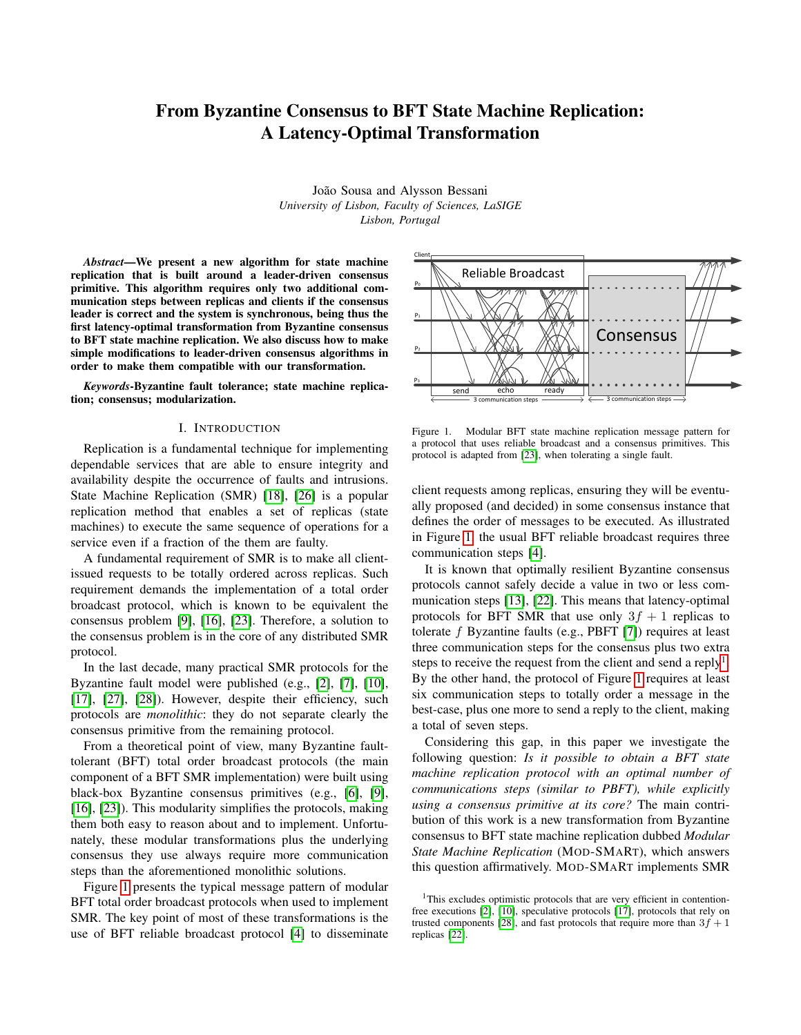# From Byzantine Consensus to BFT State Machine Replication: A Latency-Optimal Transformation

João Sousa and Alysson Bessani *University of Lisbon, Faculty of Sciences, LaSIGE Lisbon, Portugal*

*Abstract*—We present a new algorithm for state machine replication that is built around a leader-driven consensus primitive. This algorithm requires only two additional communication steps between replicas and clients if the consensus leader is correct and the system is synchronous, being thus the first latency-optimal transformation from Byzantine consensus to BFT state machine replication. We also discuss how to make simple modifications to leader-driven consensus algorithms in order to make them compatible with our transformation.

*Keywords*-Byzantine fault tolerance; state machine replication; consensus; modularization.

#### I. INTRODUCTION

Replication is a fundamental technique for implementing dependable services that are able to ensure integrity and availability despite the occurrence of faults and intrusions. State Machine Replication (SMR) [\[18\]](#page-8-0), [\[26\]](#page-9-0) is a popular replication method that enables a set of replicas (state machines) to execute the same sequence of operations for a service even if a fraction of the them are faulty.

A fundamental requirement of SMR is to make all clientissued requests to be totally ordered across replicas. Such requirement demands the implementation of a total order broadcast protocol, which is known to be equivalent the consensus problem [\[9\]](#page-8-1), [\[16\]](#page-8-2), [\[23\]](#page-9-1). Therefore, a solution to the consensus problem is in the core of any distributed SMR protocol.

In the last decade, many practical SMR protocols for the Byzantine fault model were published (e.g., [\[2\]](#page-8-3), [\[7\]](#page-8-4), [\[10\]](#page-8-5), [\[17\]](#page-8-6), [\[27\]](#page-9-2), [\[28\]](#page-9-3)). However, despite their efficiency, such protocols are *monolithic*: they do not separate clearly the consensus primitive from the remaining protocol.

From a theoretical point of view, many Byzantine faulttolerant (BFT) total order broadcast protocols (the main component of a BFT SMR implementation) were built using black-box Byzantine consensus primitives (e.g., [\[6\]](#page-8-7), [\[9\]](#page-8-1), [\[16\]](#page-8-2), [\[23\]](#page-9-1)). This modularity simplifies the protocols, making them both easy to reason about and to implement. Unfortunately, these modular transformations plus the underlying consensus they use always require more communication steps than the aforementioned monolithic solutions.

Figure [1](#page-0-0) presents the typical message pattern of modular BFT total order broadcast protocols when used to implement SMR. The key point of most of these transformations is the use of BFT reliable broadcast protocol [\[4\]](#page-8-8) to disseminate



<span id="page-0-0"></span>Figure 1. Modular BFT state machine replication message pattern for a protocol that uses reliable broadcast and a consensus primitives. This protocol is adapted from [\[23\]](#page-9-1), when tolerating a single fault.

client requests among replicas, ensuring they will be eventually proposed (and decided) in some consensus instance that defines the order of messages to be executed. As illustrated in Figure [1,](#page-0-0) the usual BFT reliable broadcast requires three communication steps [\[4\]](#page-8-8).

It is known that optimally resilient Byzantine consensus protocols cannot safely decide a value in two or less communication steps [\[13\]](#page-8-9), [\[22\]](#page-9-4). This means that latency-optimal protocols for BFT SMR that use only  $3f + 1$  replicas to tolerate  $f$  Byzantine faults (e.g., PBFT [\[7\]](#page-8-4)) requires at least three communication steps for the consensus plus two extra steps to receive the request from the client and send a reply<sup>[1](#page-0-1)</sup>. By the other hand, the protocol of Figure [1](#page-0-0) requires at least six communication steps to totally order a message in the best-case, plus one more to send a reply to the client, making a total of seven steps.

Considering this gap, in this paper we investigate the following question: *Is it possible to obtain a BFT state machine replication protocol with an optimal number of communications steps (similar to PBFT), while explicitly using a consensus primitive at its core?* The main contribution of this work is a new transformation from Byzantine consensus to BFT state machine replication dubbed *Modular State Machine Replication* (MOD-SMART), which answers this question affirmatively. MOD-SMART implements SMR

<span id="page-0-1"></span><sup>&</sup>lt;sup>1</sup>This excludes optimistic protocols that are very efficient in contentionfree executions [\[2\]](#page-8-3), [\[10\]](#page-8-5), speculative protocols [\[17\]](#page-8-6), protocols that rely on trusted components [\[28\]](#page-9-3), and fast protocols that require more than  $3f + 1$ replicas [\[22\]](#page-9-4).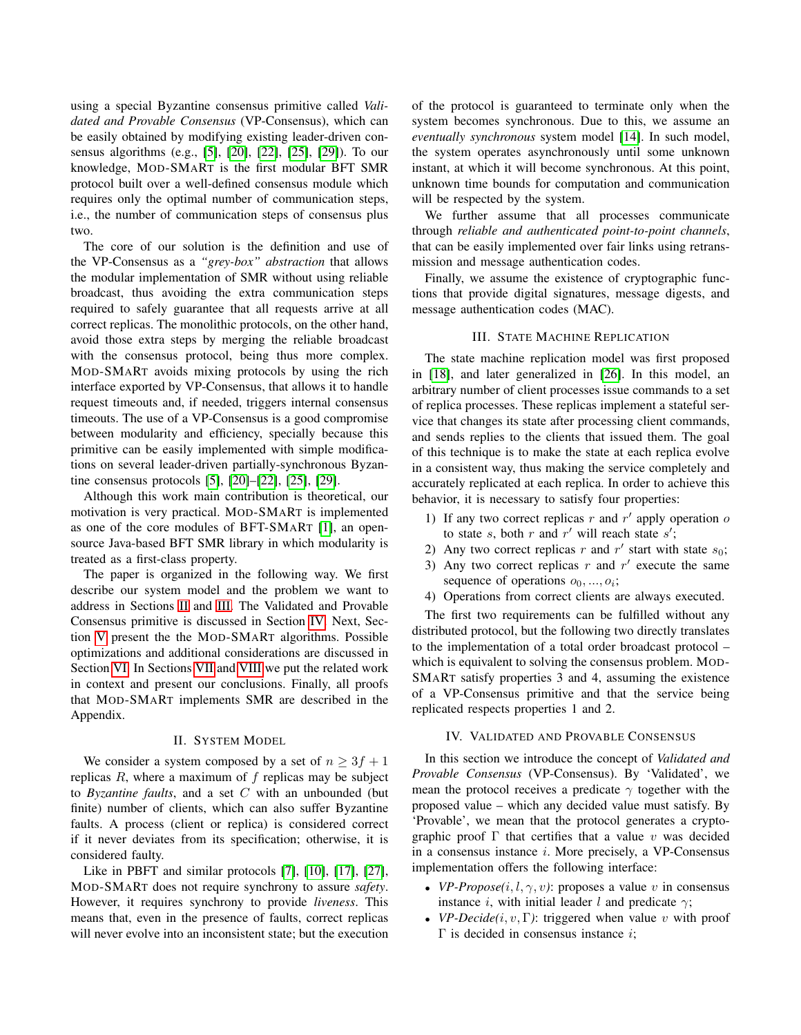using a special Byzantine consensus primitive called *Validated and Provable Consensus* (VP-Consensus), which can be easily obtained by modifying existing leader-driven consensus algorithms (e.g., [\[5\]](#page-8-10), [\[20\]](#page-8-11), [\[22\]](#page-9-4), [\[25\]](#page-9-5), [\[29\]](#page-9-6)). To our knowledge, MOD-SMART is the first modular BFT SMR protocol built over a well-defined consensus module which requires only the optimal number of communication steps, i.e., the number of communication steps of consensus plus two.

The core of our solution is the definition and use of the VP-Consensus as a *"grey-box" abstraction* that allows the modular implementation of SMR without using reliable broadcast, thus avoiding the extra communication steps required to safely guarantee that all requests arrive at all correct replicas. The monolithic protocols, on the other hand, avoid those extra steps by merging the reliable broadcast with the consensus protocol, being thus more complex. MOD-SMART avoids mixing protocols by using the rich interface exported by VP-Consensus, that allows it to handle request timeouts and, if needed, triggers internal consensus timeouts. The use of a VP-Consensus is a good compromise between modularity and efficiency, specially because this primitive can be easily implemented with simple modifications on several leader-driven partially-synchronous Byzantine consensus protocols [\[5\]](#page-8-10), [\[20\]](#page-8-11)–[\[22\]](#page-9-4), [\[25\]](#page-9-5), [\[29\]](#page-9-6).

Although this work main contribution is theoretical, our motivation is very practical. MOD-SMART is implemented as one of the core modules of BFT-SMART [\[1\]](#page-8-12), an opensource Java-based BFT SMR library in which modularity is treated as a first-class property.

The paper is organized in the following way. We first describe our system model and the problem we want to address in Sections [II](#page-1-0) and [III.](#page-1-1) The Validated and Provable Consensus primitive is discussed in Section [IV.](#page-1-2) Next, Section [V](#page-2-0) present the the MOD-SMART algorithms. Possible optimizations and additional considerations are discussed in Section [VI.](#page-6-0) In Sections [VII](#page-7-0) and [VIII](#page-8-13) we put the related work in context and present our conclusions. Finally, all proofs that MOD-SMART implements SMR are described in the Appendix.

#### II. SYSTEM MODEL

<span id="page-1-0"></span>We consider a system composed by a set of  $n \geq 3f + 1$ replicas  $R$ , where a maximum of  $f$  replicas may be subject to *Byzantine faults*, and a set C with an unbounded (but finite) number of clients, which can also suffer Byzantine faults. A process (client or replica) is considered correct if it never deviates from its specification; otherwise, it is considered faulty.

Like in PBFT and similar protocols [\[7\]](#page-8-4), [\[10\]](#page-8-5), [\[17\]](#page-8-6), [\[27\]](#page-9-2), MOD-SMART does not require synchrony to assure *safety*. However, it requires synchrony to provide *liveness*. This means that, even in the presence of faults, correct replicas will never evolve into an inconsistent state; but the execution of the protocol is guaranteed to terminate only when the system becomes synchronous. Due to this, we assume an *eventually synchronous* system model [\[14\]](#page-8-14). In such model, the system operates asynchronously until some unknown instant, at which it will become synchronous. At this point, unknown time bounds for computation and communication will be respected by the system.

We further assume that all processes communicate through *reliable and authenticated point-to-point channels*, that can be easily implemented over fair links using retransmission and message authentication codes.

Finally, we assume the existence of cryptographic functions that provide digital signatures, message digests, and message authentication codes (MAC).

#### III. STATE MACHINE REPLICATION

<span id="page-1-1"></span>The state machine replication model was first proposed in [\[18\]](#page-8-0), and later generalized in [\[26\]](#page-9-0). In this model, an arbitrary number of client processes issue commands to a set of replica processes. These replicas implement a stateful service that changes its state after processing client commands, and sends replies to the clients that issued them. The goal of this technique is to make the state at each replica evolve in a consistent way, thus making the service completely and accurately replicated at each replica. In order to achieve this behavior, it is necessary to satisfy four properties:

- 1) If any two correct replicas  $r$  and  $r'$  apply operation  $o$ to state s, both r and r' will reach state  $s'$ ;
- 2) Any two correct replicas r and r' start with state  $s_0$ ;
- 3) Any two correct replicas  $r$  and  $r'$  execute the same sequence of operations  $o_0, ..., o_i$ ;
- 4) Operations from correct clients are always executed.

The first two requirements can be fulfilled without any distributed protocol, but the following two directly translates to the implementation of a total order broadcast protocol – which is equivalent to solving the consensus problem. MOD-SMART satisfy properties 3 and 4, assuming the existence of a VP-Consensus primitive and that the service being replicated respects properties 1 and 2.

#### IV. VALIDATED AND PROVABLE CONSENSUS

<span id="page-1-2"></span>In this section we introduce the concept of *Validated and Provable Consensus* (VP-Consensus). By 'Validated', we mean the protocol receives a predicate  $\gamma$  together with the proposed value – which any decided value must satisfy. By 'Provable', we mean that the protocol generates a cryptographic proof  $\Gamma$  that certifies that a value v was decided in a consensus instance i. More precisely, a VP-Consensus implementation offers the following interface:

- *VP-Propose* $(i, l, \gamma, v)$ : proposes a value v in consensus instance i, with initial leader l and predicate  $\gamma$ ;
- *VP-Decide* $(i, v, \Gamma)$ : triggered when value v with proof  $Γ$  is decided in consensus instance *i*;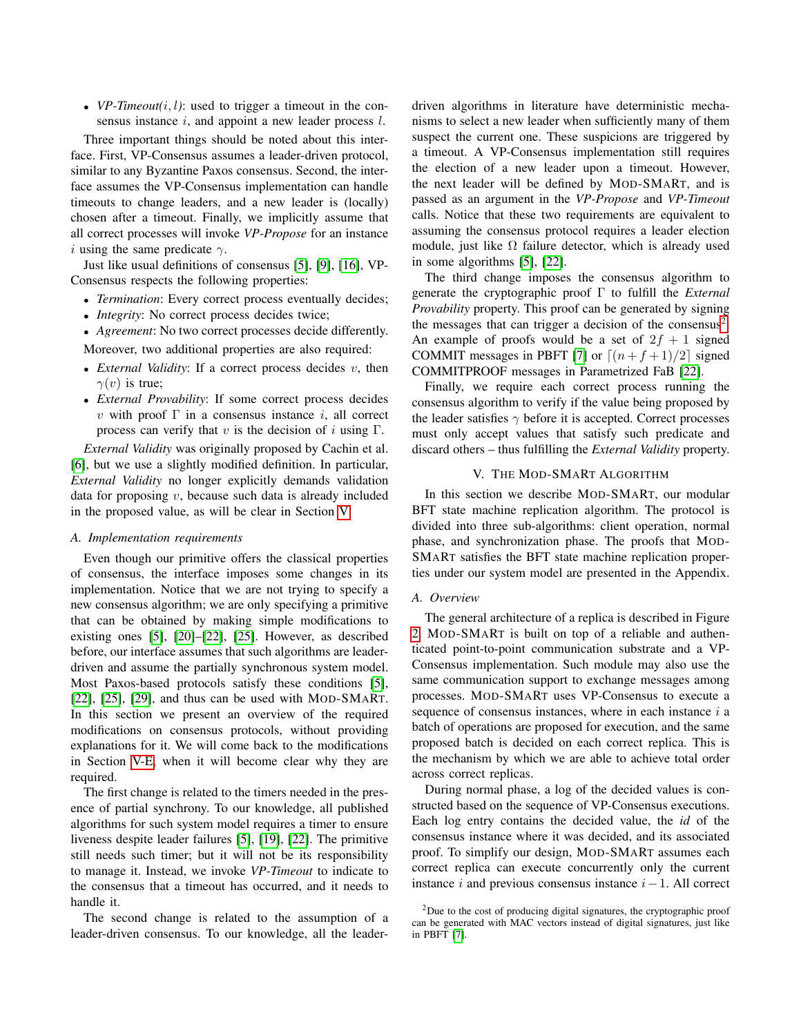•  $VP\text{-}Timeout(i, l)$ : used to trigger a timeout in the consensus instance  $i$ , and appoint a new leader process  $l$ .

Three important things should be noted about this interface. First, VP-Consensus assumes a leader-driven protocol, similar to any Byzantine Paxos consensus. Second, the interface assumes the VP-Consensus implementation can handle timeouts to change leaders, and a new leader is (locally) chosen after a timeout. Finally, we implicitly assume that all correct processes will invoke *VP-Propose* for an instance i using the same predicate  $\gamma$ .

Just like usual definitions of consensus [\[5\]](#page-8-10), [\[9\]](#page-8-1), [\[16\]](#page-8-2), VP-Consensus respects the following properties:

- *Termination*: Every correct process eventually decides;
- *Integrity*: No correct process decides twice;
- *Agreement*: No two correct processes decide differently. Moreover, two additional properties are also required:
- *External Validity*: If a correct process decides  $v$ , then  $\gamma(v)$  is true;
- *External Provability*: If some correct process decides *v* with proof Γ in a consensus instance *i*, all correct process can verify that v is the decision of i using  $\Gamma$ .

*External Validity* was originally proposed by Cachin et al. [\[6\]](#page-8-7), but we use a slightly modified definition. In particular, *External Validity* no longer explicitly demands validation data for proposing  $v$ , because such data is already included in the proposed value, as will be clear in Section [V.](#page-2-0)

#### <span id="page-2-2"></span>*A. Implementation requirements*

Even though our primitive offers the classical properties of consensus, the interface imposes some changes in its implementation. Notice that we are not trying to specify a new consensus algorithm; we are only specifying a primitive that can be obtained by making simple modifications to existing ones [\[5\]](#page-8-10), [\[20\]](#page-8-11)–[\[22\]](#page-9-4), [\[25\]](#page-9-5). However, as described before, our interface assumes that such algorithms are leaderdriven and assume the partially synchronous system model. Most Paxos-based protocols satisfy these conditions [\[5\]](#page-8-10), [\[22\]](#page-9-4), [\[25\]](#page-9-5), [\[29\]](#page-9-6), and thus can be used with MOD-SMART. In this section we present an overview of the required modifications on consensus protocols, without providing explanations for it. We will come back to the modifications in Section [V-E,](#page-5-0) when it will become clear why they are required.

The first change is related to the timers needed in the presence of partial synchrony. To our knowledge, all published algorithms for such system model requires a timer to ensure liveness despite leader failures [\[5\]](#page-8-10), [\[19\]](#page-8-15), [\[22\]](#page-9-4). The primitive still needs such timer; but it will not be its responsibility to manage it. Instead, we invoke *VP-Timeout* to indicate to the consensus that a timeout has occurred, and it needs to handle it.

The second change is related to the assumption of a leader-driven consensus. To our knowledge, all the leaderdriven algorithms in literature have deterministic mechanisms to select a new leader when sufficiently many of them suspect the current one. These suspicions are triggered by a timeout. A VP-Consensus implementation still requires the election of a new leader upon a timeout. However, the next leader will be defined by MOD-SMART, and is passed as an argument in the *VP-Propose* and *VP-Timeout* calls. Notice that these two requirements are equivalent to assuming the consensus protocol requires a leader election module, just like  $\Omega$  failure detector, which is already used in some algorithms [\[5\]](#page-8-10), [\[22\]](#page-9-4).

The third change imposes the consensus algorithm to generate the cryptographic proof Γ to fulfill the *External Provability* property. This proof can be generated by signing the messages that can trigger a decision of the consensus<sup>[2](#page-2-1)</sup>. An example of proofs would be a set of  $2f + 1$  signed COMMIT messages in PBFT [\[7\]](#page-8-4) or  $(n+f+1)/2$  signed COMMITPROOF messages in Parametrized FaB [\[22\]](#page-9-4).

Finally, we require each correct process running the consensus algorithm to verify if the value being proposed by the leader satisfies  $\gamma$  before it is accepted. Correct processes must only accept values that satisfy such predicate and discard others – thus fulfilling the *External Validity* property.

## V. THE MOD-SMART ALGORITHM

<span id="page-2-0"></span>In this section we describe MOD-SMART, our modular BFT state machine replication algorithm. The protocol is divided into three sub-algorithms: client operation, normal phase, and synchronization phase. The proofs that MOD-SMART satisfies the BFT state machine replication properties under our system model are presented in the Appendix.

#### *A. Overview*

The general architecture of a replica is described in Figure [2.](#page-3-0) MOD-SMART is built on top of a reliable and authenticated point-to-point communication substrate and a VP-Consensus implementation. Such module may also use the same communication support to exchange messages among processes. MOD-SMART uses VP-Consensus to execute a sequence of consensus instances, where in each instance  $i$  a batch of operations are proposed for execution, and the same proposed batch is decided on each correct replica. This is the mechanism by which we are able to achieve total order across correct replicas.

During normal phase, a log of the decided values is constructed based on the sequence of VP-Consensus executions. Each log entry contains the decided value, the *id* of the consensus instance where it was decided, and its associated proof. To simplify our design, MOD-SMART assumes each correct replica can execute concurrently only the current instance i and previous consensus instance  $i-1$ . All correct

<span id="page-2-1"></span><sup>&</sup>lt;sup>2</sup>Due to the cost of producing digital signatures, the cryptographic proof can be generated with MAC vectors instead of digital signatures, just like in PBFT [\[7\]](#page-8-4).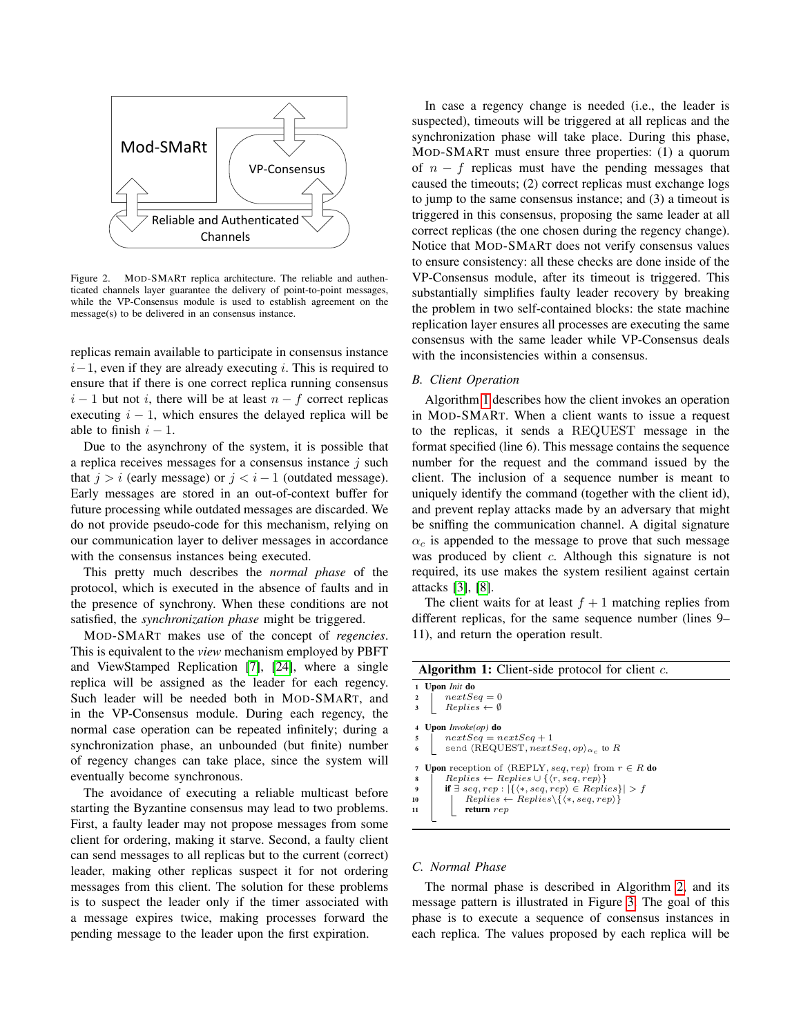

<span id="page-3-0"></span>Figure 2. MOD-SMART replica architecture. The reliable and authenticated channels layer guarantee the delivery of point-to-point messages, while the VP-Consensus module is used to establish agreement on the message(s) to be delivered in an consensus instance.

replicas remain available to participate in consensus instance  $i-1$ , even if they are already executing i. This is required to ensure that if there is one correct replica running consensus  $i - 1$  but not i, there will be at least  $n - f$  correct replicas executing  $i - 1$ , which ensures the delayed replica will be able to finish  $i - 1$ .

Due to the asynchrony of the system, it is possible that a replica receives messages for a consensus instance  $\dot{\jmath}$  such that  $j > i$  (early message) or  $j < i - 1$  (outdated message). Early messages are stored in an out-of-context buffer for future processing while outdated messages are discarded. We do not provide pseudo-code for this mechanism, relying on our communication layer to deliver messages in accordance with the consensus instances being executed.

This pretty much describes the *normal phase* of the protocol, which is executed in the absence of faults and in the presence of synchrony. When these conditions are not satisfied, the *synchronization phase* might be triggered.

MOD-SMART makes use of the concept of *regencies*. This is equivalent to the *view* mechanism employed by PBFT and ViewStamped Replication [\[7\]](#page-8-4), [\[24\]](#page-9-7), where a single replica will be assigned as the leader for each regency. Such leader will be needed both in MOD-SMART, and in the VP-Consensus module. During each regency, the normal case operation can be repeated infinitely; during a synchronization phase, an unbounded (but finite) number of regency changes can take place, since the system will eventually become synchronous.

The avoidance of executing a reliable multicast before starting the Byzantine consensus may lead to two problems. First, a faulty leader may not propose messages from some client for ordering, making it starve. Second, a faulty client can send messages to all replicas but to the current (correct) leader, making other replicas suspect it for not ordering messages from this client. The solution for these problems is to suspect the leader only if the timer associated with a message expires twice, making processes forward the pending message to the leader upon the first expiration.

In case a regency change is needed (i.e., the leader is suspected), timeouts will be triggered at all replicas and the synchronization phase will take place. During this phase, MOD-SMART must ensure three properties: (1) a quorum of  $n - f$  replicas must have the pending messages that caused the timeouts; (2) correct replicas must exchange logs to jump to the same consensus instance; and (3) a timeout is triggered in this consensus, proposing the same leader at all correct replicas (the one chosen during the regency change). Notice that MOD-SMART does not verify consensus values to ensure consistency: all these checks are done inside of the VP-Consensus module, after its timeout is triggered. This substantially simplifies faulty leader recovery by breaking the problem in two self-contained blocks: the state machine replication layer ensures all processes are executing the same consensus with the same leader while VP-Consensus deals with the inconsistencies within a consensus.

#### *B. Client Operation*

Algorithm [1](#page-3-1) describes how the client invokes an operation in MOD-SMART. When a client wants to issue a request to the replicas, it sends a REQUEST message in the format specified (line 6). This message contains the sequence number for the request and the command issued by the client. The inclusion of a sequence number is meant to uniquely identify the command (together with the client id), and prevent replay attacks made by an adversary that might be sniffing the communication channel. A digital signature  $\alpha_c$  is appended to the message to prove that such message was produced by client c. Although this signature is not required, its use makes the system resilient against certain attacks [\[3\]](#page-8-16), [\[8\]](#page-8-17).

The client waits for at least  $f + 1$  matching replies from different replicas, for the same sequence number (lines 9– 11), and return the operation result.

<span id="page-3-1"></span>

| <b>Algorithm 1:</b> Client-side protocol for client $c$ . |                                                                                                    |  |  |  |  |
|-----------------------------------------------------------|----------------------------------------------------------------------------------------------------|--|--|--|--|
|                                                           | Upon <i>Init</i> do                                                                                |  |  |  |  |
|                                                           | $\begin{array}{c c} \text{ } & nextSeq = 0 \\ \text{ } & Replies \leftarrow \emptyset \end{array}$ |  |  |  |  |
|                                                           |                                                                                                    |  |  |  |  |
|                                                           | <b>Upon</b> <i>Invoke(op)</i> <b>do</b>                                                            |  |  |  |  |
|                                                           |                                                                                                    |  |  |  |  |
|                                                           | 5 $nextSeq = nextSeq + 1$<br>6 send (REQUEST, next Seq, op) <sub><math>\alpha_c</math></sub> to R  |  |  |  |  |
|                                                           | <b>Upon</b> reception of $\langle \text{REPLY}, \text{seq}, \text{rep} \rangle$ from $r \in R$ do  |  |  |  |  |
| 8                                                         | $Replies \leftarrow Replies \cup \{\langle r, seq, rep \rangle\}$                                  |  |  |  |  |
| $\boldsymbol{9}$                                          | if $\exists$ seq, rep : $ \{\langle *, seq, rep \rangle \in Replies\}  > f$                        |  |  |  |  |
| 10                                                        | $Replies \leftarrow Replies \setminus \{\langle *, seq, rep \rangle\}$                             |  |  |  |  |
| 11                                                        | return $rep$                                                                                       |  |  |  |  |
|                                                           |                                                                                                    |  |  |  |  |

## *C. Normal Phase*

The normal phase is described in Algorithm [2,](#page-4-0) and its message pattern is illustrated in Figure [3.](#page-4-1) The goal of this phase is to execute a sequence of consensus instances in each replica. The values proposed by each replica will be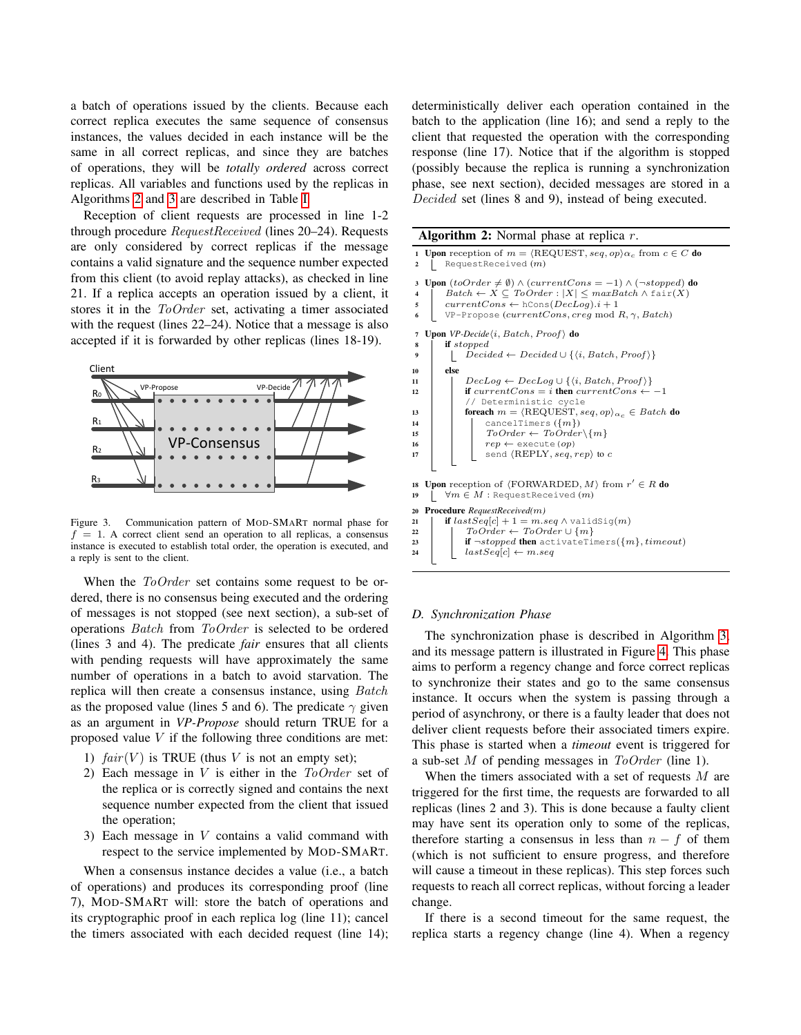a batch of operations issued by the clients. Because each correct replica executes the same sequence of consensus instances, the values decided in each instance will be the same in all correct replicas, and since they are batches of operations, they will be *totally ordered* across correct replicas. All variables and functions used by the replicas in Algorithms [2](#page-4-0) and [3](#page-6-1) are described in Table [I.](#page-5-1)

Reception of client requests are processed in line 1-2 through procedure *RequestReceived* (lines 20–24). Requests are only considered by correct replicas if the message contains a valid signature and the sequence number expected from this client (to avoid replay attacks), as checked in line 21. If a replica accepts an operation issued by a client, it stores it in the ToOrder set, activating a timer associated with the request (lines 22–24). Notice that a message is also accepted if it is forwarded by other replicas (lines 18-19).



<span id="page-4-1"></span>Figure 3. Communication pattern of MOD-SMART normal phase for  $f = 1$ . A correct client send an operation to all replicas, a consensus instance is executed to establish total order, the operation is executed, and a reply is sent to the client.

When the *ToOrder* set contains some request to be ordered, there is no consensus being executed and the ordering of messages is not stopped (see next section), a sub-set of operations Batch from ToOrder is selected to be ordered (lines 3 and 4). The predicate *fair* ensures that all clients with pending requests will have approximately the same number of operations in a batch to avoid starvation. The replica will then create a consensus instance, using Batch as the proposed value (lines 5 and 6). The predicate  $\gamma$  given as an argument in *VP-Propose* should return TRUE for a proposed value  $V$  if the following three conditions are met:

- 1)  $fair(V)$  is TRUE (thus V is not an empty set);
- 2) Each message in  $V$  is either in the  $ToOrder$  set of the replica or is correctly signed and contains the next sequence number expected from the client that issued the operation;
- 3) Each message in V contains a valid command with respect to the service implemented by MOD-SMART.

When a consensus instance decides a value (i.e., a batch of operations) and produces its corresponding proof (line 7), MOD-SMART will: store the batch of operations and its cryptographic proof in each replica log (line 11); cancel the timers associated with each decided request (line 14); deterministically deliver each operation contained in the batch to the application (line 16); and send a reply to the client that requested the operation with the corresponding response (line 17). Notice that if the algorithm is stopped (possibly because the replica is running a synchronization phase, see next section), decided messages are stored in a Decided set (lines 8 and 9), instead of being executed.

<span id="page-4-0"></span>**Algorithm 2:** Normal phase at replica  $r$ . 1 Upon reception of  $m = \langle \text{REQUEST}, seq, op \rangle \alpha_c$  from  $c \in C$  do 2 | RequestReceived  $(m)$ 3 Upon  $(toOrder \neq \emptyset) \wedge (currentCons = -1) \wedge (\neg stopped)$  do 4 Batch ←  $X \subseteq ToOrder : |X| \leq maxBatch \land \text{fair}(X)$ <br>5 currentCons ← hCons(DecLog).i + 1 6 VP-Propose (current Cons, creg mod  $R, \gamma, Batch$ ) 7 Upon *VP-Decide*(*i*, *Batch*, *Proof*) do 8 if stopped  $\left[ \begin{array}{c} \hat{Decided} \leftarrow Decided \cup \{ \langle i, Batch, Proof \rangle \} \end{array} \right]$ 10 else 11 | DecLog ← DecLog  $\cup \{\langle i, Batch, Proof \rangle\}$ 12 if currentCons = i then currentCons  $\leftarrow -1$ // Deterministic cycle 13 **foreach**  $m = \langle \text{REQUEST}, seq, op \rangle_{\alpha_c} \in Batch$  **do**<br> **do** cancel Timers  $(\{m\})$ cancelTimers  $(\{m\})$ 15  $\vert$  ToOrder  $\leftarrow$  ToOrder $\setminus \{m\}$ 16  $\vert$   $\vert$   $\vert$   $rep \leftarrow$  execute  $(op)$ 17 send  $\langle \text{REPLY}, seq, rep \rangle$  to c 18 Upon reception of  $\langle \text{FORWARDED}, M \rangle$  from  $r' \in R$  do 19  $\forall m \in M : \text{RequestReceived}(m)$ 20 **Procedure**  $RequestReceived(m)$ <br>21 **if**  $lastSeq[c] + 1 = m.s$ 21 if  $lastSeq[c] + 1 = m \nseq \land \text{validSig}(m)$ <br>  $22 \quad | \quad ToOrder \leftarrow ToOrder \cup \{m\}$  $ToOrder \leftarrow ToOrder \cup \{m\}$ 23 if  $\neg$  stopped then activateTimers({m}, timeout)<br>  $lastSeq[c] \leftarrow m-sea$  $lastSeq[c] \leftarrow m-seq$ 

#### *D. Synchronization Phase*

The synchronization phase is described in Algorithm [3,](#page-6-1) and its message pattern is illustrated in Figure [4.](#page-5-2) This phase aims to perform a regency change and force correct replicas to synchronize their states and go to the same consensus instance. It occurs when the system is passing through a period of asynchrony, or there is a faulty leader that does not deliver client requests before their associated timers expire. This phase is started when a *timeout* event is triggered for a sub-set  $M$  of pending messages in  $ToOrder$  (line 1).

When the timers associated with a set of requests  $M$  are triggered for the first time, the requests are forwarded to all replicas (lines 2 and 3). This is done because a faulty client may have sent its operation only to some of the replicas, therefore starting a consensus in less than  $n - f$  of them (which is not sufficient to ensure progress, and therefore will cause a timeout in these replicas). This step forces such requests to reach all correct replicas, without forcing a leader change.

If there is a second timeout for the same request, the replica starts a regency change (line 4). When a regency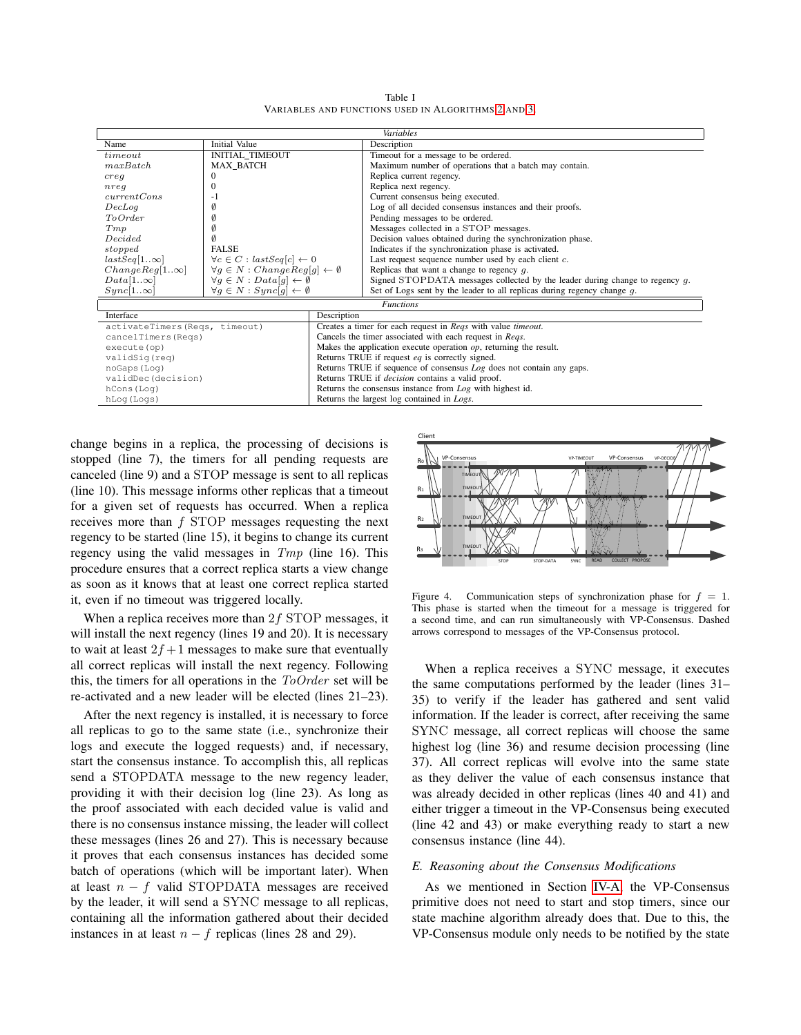Table I VARIABLES AND FUNCTIONS USED IN ALGORITHMS [2](#page-4-0) AND [3.](#page-6-1)

<span id="page-5-1"></span>

| <b>Variables</b>                                                              |                                                    |                                                                             |                                                                                 |  |  |
|-------------------------------------------------------------------------------|----------------------------------------------------|-----------------------------------------------------------------------------|---------------------------------------------------------------------------------|--|--|
| Initial Value<br>Name                                                         |                                                    |                                                                             | Description                                                                     |  |  |
| <b>INITIAL TIMEOUT</b><br>time out                                            |                                                    |                                                                             | Timeout for a message to be ordered.                                            |  |  |
| maxBatch<br><b>MAX BATCH</b>                                                  |                                                    |                                                                             | Maximum number of operations that a batch may contain.                          |  |  |
| $\Omega$<br>creg                                                              |                                                    |                                                                             | Replica current regency.                                                        |  |  |
| nreg                                                                          |                                                    |                                                                             | Replica next regency.                                                           |  |  |
| currentCons                                                                   |                                                    |                                                                             | Current consensus being executed.                                               |  |  |
| Ø<br>DecLog                                                                   |                                                    |                                                                             | Log of all decided consensus instances and their proofs.                        |  |  |
| To Order<br>Ø                                                                 |                                                    |                                                                             | Pending messages to be ordered.                                                 |  |  |
| Ø<br>Tmp                                                                      |                                                    |                                                                             | Messages collected in a STOP messages.                                          |  |  |
| Decided<br>Ø                                                                  |                                                    |                                                                             | Decision values obtained during the synchronization phase.                      |  |  |
| <b>FALSE</b><br>stopped                                                       |                                                    |                                                                             | Indicates if the synchronization phase is activated.                            |  |  |
| $lastSeq[1\infty]$                                                            | $\forall c \in C : \text{lastSeq}[c] \leftarrow 0$ |                                                                             | Last request sequence number used by each client c.                             |  |  |
| $\forall g \in N : ChangeReg[g] \leftarrow \emptyset$<br>$ChangeReg[1\infty]$ |                                                    |                                                                             | Replicas that want a change to regency $q$ .                                    |  |  |
| $Data[1\infty]$                                                               | $\forall g \in N : Data[g] \leftarrow \emptyset$   |                                                                             | Signed STOPDATA messages collected by the leader during change to regency $g$ . |  |  |
| $Sync[1\infty]$                                                               | $\forall q \in N : Sync[q] \leftarrow \emptyset$   |                                                                             | Set of Logs sent by the leader to all replicas during regency change $q$ .      |  |  |
| <b>Functions</b>                                                              |                                                    |                                                                             |                                                                                 |  |  |
| Interface<br>Description                                                      |                                                    |                                                                             |                                                                                 |  |  |
| activateTimers(Reqs, timeout)                                                 |                                                    | Creates a timer for each request in <i>Reqs</i> with value <i>timeout</i> . |                                                                                 |  |  |
| cancelTimers (Reqs)                                                           |                                                    | Cancels the timer associated with each request in Reqs.                     |                                                                                 |  |  |
| execute (op)                                                                  |                                                    | Makes the application execute operation $op$ , returning the result.        |                                                                                 |  |  |
| validSig(req)                                                                 |                                                    |                                                                             | Returns TRUE if request eq is correctly signed.                                 |  |  |
| noGaps (Log)                                                                  |                                                    |                                                                             | Returns TRUE if sequence of consensus Log does not contain any gaps.            |  |  |
| validDec(decision)                                                            |                                                    |                                                                             | Returns TRUE if <i>decision</i> contains a valid proof.                         |  |  |
| hCons (Log)                                                                   |                                                    | Returns the consensus instance from Log with highest id.                    |                                                                                 |  |  |
| hLog (Logs)                                                                   |                                                    | Returns the largest log contained in Logs.                                  |                                                                                 |  |  |

change begins in a replica, the processing of decisions is stopped (line 7), the timers for all pending requests are canceled (line 9) and a STOP message is sent to all replicas (line 10). This message informs other replicas that a timeout for a given set of requests has occurred. When a replica receives more than  $f$  STOP messages requesting the next regency to be started (line 15), it begins to change its current regency using the valid messages in  $Tmp$  (line 16). This procedure ensures that a correct replica starts a view change as soon as it knows that at least one correct replica started it, even if no timeout was triggered locally.

When a replica receives more than 2f STOP messages, it will install the next regency (lines 19 and 20). It is necessary to wait at least  $2f + 1$  messages to make sure that eventually all correct replicas will install the next regency. Following this, the timers for all operations in the  $ToOrder$  set will be re-activated and a new leader will be elected (lines 21–23).

After the next regency is installed, it is necessary to force all replicas to go to the same state (i.e., synchronize their logs and execute the logged requests) and, if necessary, start the consensus instance. To accomplish this, all replicas send a STOPDATA message to the new regency leader, providing it with their decision log (line 23). As long as the proof associated with each decided value is valid and there is no consensus instance missing, the leader will collect these messages (lines 26 and 27). This is necessary because it proves that each consensus instances has decided some batch of operations (which will be important later). When at least  $n - f$  valid STOPDATA messages are received by the leader, it will send a SYNC message to all replicas, containing all the information gathered about their decided instances in at least  $n - f$  replicas (lines 28 and 29).



<span id="page-5-2"></span>Figure 4. Communication steps of synchronization phase for  $f = 1$ . This phase is started when the timeout for a message is triggered for a second time, and can run simultaneously with VP-Consensus. Dashed arrows correspond to messages of the VP-Consensus protocol.

When a replica receives a SYNC message, it executes the same computations performed by the leader (lines 31– 35) to verify if the leader has gathered and sent valid information. If the leader is correct, after receiving the same SYNC message, all correct replicas will choose the same highest log (line 36) and resume decision processing (line 37). All correct replicas will evolve into the same state as they deliver the value of each consensus instance that was already decided in other replicas (lines 40 and 41) and either trigger a timeout in the VP-Consensus being executed (line 42 and 43) or make everything ready to start a new consensus instance (line 44).

## <span id="page-5-0"></span>*E. Reasoning about the Consensus Modifications*

As we mentioned in Section [IV-A,](#page-2-2) the VP-Consensus primitive does not need to start and stop timers, since our state machine algorithm already does that. Due to this, the VP-Consensus module only needs to be notified by the state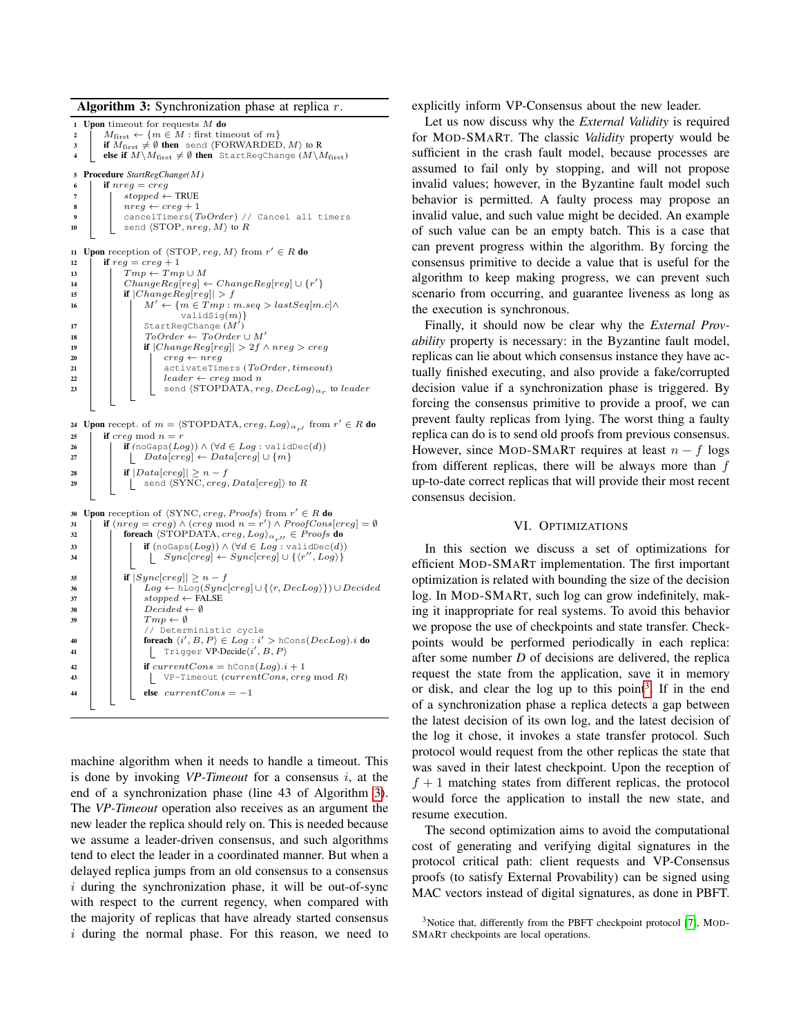<span id="page-6-1"></span>Algorithm 3: Synchronization phase at replica  $r$ . 1 Upon timeout for requests  $M$  do 2  $\begin{bmatrix} M_{\text{first}} \leftarrow \{m \in M : \text{first timeout of } m\} \end{bmatrix}$ 3 if  $M_{\text{first}} \neq \emptyset$  then send  $\langle \text{FORWARDED}, M \rangle$  to R else if  $M\setminus M_{\text{first}} \neq \emptyset$  then StartRegChange  $(M\setminus M_{\text{first}})$ 5 Procedure *StartRegChange(*M*)* if  $nreg = creg$ 7  $stopped \leftarrow TRUE$ <br>8  $area \leftarrow crea + 1$  $nreg \leftarrow creg + 1$ 9 cancelTimers( $ToOrder$ ) // Cancel all timers<br>10 send (STOP,  $nreq$ ,  $M$ ) to  $R$ send  $\langle \text{STOP}, \mathit{nreg}, M \rangle$  to  $R$ 11 Upon reception of  $\langle \text{STOP}, reg, M \rangle$  from  $r' \in R$  do 12 **if**  $reg = creg + 1$ 13  $\boxed{\quad}$  Tmp ← Tmp  $\cup$  M 14  $\vert$  ChangeReg[reg] ← ChangeReg[reg]  $\cup$  {r'} 15 **if**  $|ChangeReg[reg]| > f$ 16  $\vert$   $\vert$   $M' \leftarrow \{m \in Tmp : m \text{.} seq > lastSeq[m.c] \land$ validSig $(m)$ } 17 StartRegChange  $(M')$ 18 | | ToOrder ← ToOrder ∪ M' 19 if  $|ChangeReg[reg]| > 2f \wedge nreg > creg$ 20 creg ← nreg 21 activateTimers (ToOrder, timeout)<br>  $\begin{array}{|c|c|c|c|c|}\n\hline\n22 & leader & e\ceq{ceq} \bline\n\end{array}$  $leader \leftarrow creg \text{ mod } n$ 23  $\left|\quad\right|$   $\left|\quad\right|$  send  $\left\langle\text{STOPDATA}, \text{reg}, \text{DecLog}\right\rangle_{\alpha_{\textit{r}}}$  to leader 24 Upon recept. of  $m = \langle \text{STOPDATA}, creg, Log \rangle_{\alpha_{r'}}$  from  $r' \in R$  do 25 if creq mod  $n = r$ 26 if  $\text{Log}(\text{Log}(\text{Log})) \wedge (\forall d \in \text{Log} : \text{validDec}(d))$ <br>  $\text{Data}[\text{creg}] \leftarrow \text{Data}[\text{creg}] \cup \{m\}$ 28 if  $|Data[creg]| \geq n - f$ 29 | | send  $\langle$  SYNC, creg, Data[creg]) to R 30 Upon reception of  $\langle \text{SYNC}, \text{creg}, \text{Proofs} \rangle$  from  $r' \in R$  do 31 **if**  $(nreg = creg) \wedge (creg mod n = r') \wedge ProofCons[creg] = \emptyset$ 32 **foreach** (STOPDATA, *creg, Log*) $\alpha_{r}$ ,  $\in$  *Proofs* **do**<br>33 **if** (noGaps(*Log*))  $\wedge$  (*Ad*  $\in$  *Log*; valid Dec(*d*) **if**  $(n \circ \text{Gaps}(Log)) \wedge (\forall d \in Log : \text{validDec}(d))$  $34$  Sync $[creg] \leftarrow Sync[creg] \cup \{\langle r'', Log \rangle\}$ 35 **if**  $|Sync[creg]| \geq n-f$ 36  $\bigcup_{Log \leftarrow \text{hLog}(Sync[creg] \cup \{\langle r, DecLog \rangle\}) \cup Decided$  $37$  | | stopped ← FALSE 38 Decided  $\leftarrow$  Ø 39  $Tmp \leftarrow \emptyset$ // Deterministic cycle 40 **foreach**  $\langle i', B, P \rangle \in \text{Log} : i' > \text{hCons}(\text{DecLog}).i$  do 41 | | Trigger VP-Decide $\langle i', B, P \rangle$ 42 if currentCons =  $h\text{Cons}(Log).i + 1$ 43 | | | VP-Timeout  $(currentCons, creg \mod R)$ 44 else  $currentCons = -1$ 

machine algorithm when it needs to handle a timeout. This is done by invoking *VP-Timeout* for a consensus i, at the end of a synchronization phase (line 43 of Algorithm [3\)](#page-6-1). The *VP-Timeout* operation also receives as an argument the new leader the replica should rely on. This is needed because we assume a leader-driven consensus, and such algorithms tend to elect the leader in a coordinated manner. But when a delayed replica jumps from an old consensus to a consensus  $i$  during the synchronization phase, it will be out-of-sync with respect to the current regency, when compared with the majority of replicas that have already started consensus  $i$  during the normal phase. For this reason, we need to explicitly inform VP-Consensus about the new leader.

Let us now discuss why the *External Validity* is required for MOD-SMART. The classic *Validity* property would be sufficient in the crash fault model, because processes are assumed to fail only by stopping, and will not propose invalid values; however, in the Byzantine fault model such behavior is permitted. A faulty process may propose an invalid value, and such value might be decided. An example of such value can be an empty batch. This is a case that can prevent progress within the algorithm. By forcing the consensus primitive to decide a value that is useful for the algorithm to keep making progress, we can prevent such scenario from occurring, and guarantee liveness as long as the execution is synchronous.

Finally, it should now be clear why the *External Provability* property is necessary: in the Byzantine fault model, replicas can lie about which consensus instance they have actually finished executing, and also provide a fake/corrupted decision value if a synchronization phase is triggered. By forcing the consensus primitive to provide a proof, we can prevent faulty replicas from lying. The worst thing a faulty replica can do is to send old proofs from previous consensus. However, since MOD-SMART requires at least  $n - f$  logs from different replicas, there will be always more than  $f$ up-to-date correct replicas that will provide their most recent consensus decision.

#### VI. OPTIMIZATIONS

<span id="page-6-0"></span>In this section we discuss a set of optimizations for efficient MOD-SMART implementation. The first important optimization is related with bounding the size of the decision log. In MOD-SMART, such log can grow indefinitely, making it inappropriate for real systems. To avoid this behavior we propose the use of checkpoints and state transfer. Checkpoints would be performed periodically in each replica: after some number *D* of decisions are delivered, the replica request the state from the application, save it in memory or disk, and clear the log up to this point<sup>[3](#page-6-2)</sup>. If in the end of a synchronization phase a replica detects a gap between the latest decision of its own log, and the latest decision of the log it chose, it invokes a state transfer protocol. Such protocol would request from the other replicas the state that was saved in their latest checkpoint. Upon the reception of  $f + 1$  matching states from different replicas, the protocol would force the application to install the new state, and resume execution.

The second optimization aims to avoid the computational cost of generating and verifying digital signatures in the protocol critical path: client requests and VP-Consensus proofs (to satisfy External Provability) can be signed using MAC vectors instead of digital signatures, as done in PBFT.

<span id="page-6-2"></span><sup>&</sup>lt;sup>3</sup>Notice that, differently from the PBFT checkpoint protocol [\[7\]](#page-8-4), MOD-SMART checkpoints are local operations.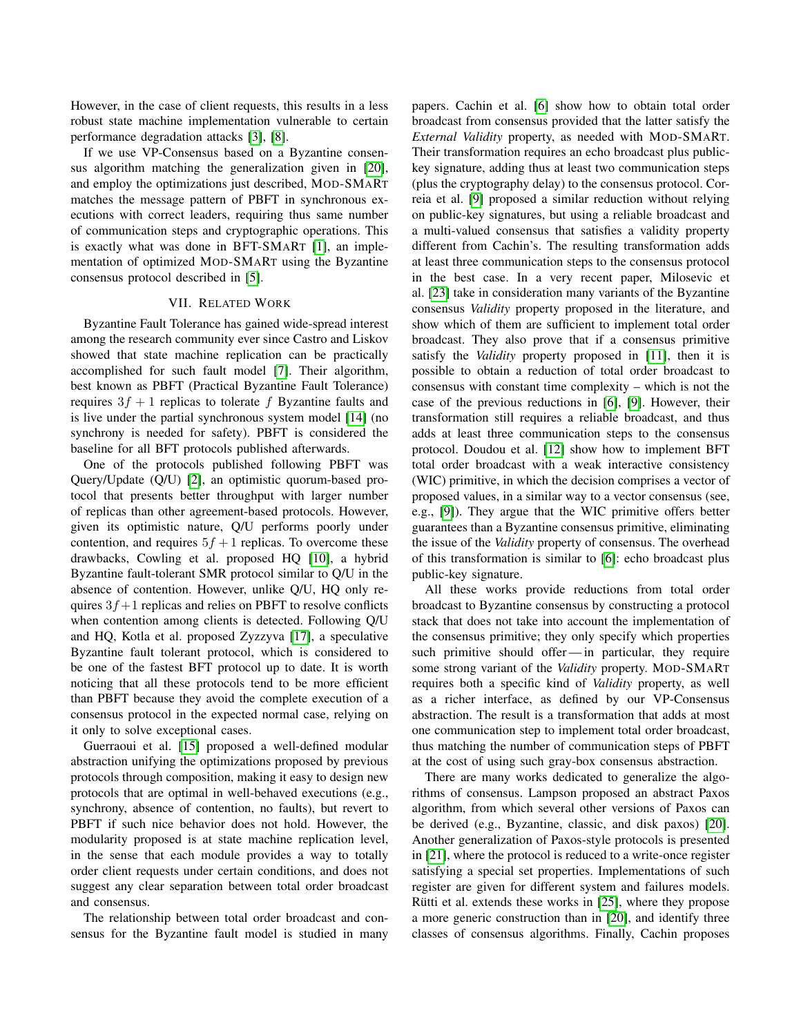However, in the case of client requests, this results in a less robust state machine implementation vulnerable to certain performance degradation attacks [\[3\]](#page-8-16), [\[8\]](#page-8-17).

If we use VP-Consensus based on a Byzantine consensus algorithm matching the generalization given in [\[20\]](#page-8-11), and employ the optimizations just described, MOD-SMART matches the message pattern of PBFT in synchronous executions with correct leaders, requiring thus same number of communication steps and cryptographic operations. This is exactly what was done in BFT-SMART [\[1\]](#page-8-12), an implementation of optimized MOD-SMART using the Byzantine consensus protocol described in [\[5\]](#page-8-10).

### VII. RELATED WORK

<span id="page-7-0"></span>Byzantine Fault Tolerance has gained wide-spread interest among the research community ever since Castro and Liskov showed that state machine replication can be practically accomplished for such fault model [\[7\]](#page-8-4). Their algorithm, best known as PBFT (Practical Byzantine Fault Tolerance) requires  $3f + 1$  replicas to tolerate f Byzantine faults and is live under the partial synchronous system model [\[14\]](#page-8-14) (no synchrony is needed for safety). PBFT is considered the baseline for all BFT protocols published afterwards.

One of the protocols published following PBFT was Query/Update (Q/U) [\[2\]](#page-8-3), an optimistic quorum-based protocol that presents better throughput with larger number of replicas than other agreement-based protocols. However, given its optimistic nature, Q/U performs poorly under contention, and requires  $5f + 1$  replicas. To overcome these drawbacks, Cowling et al. proposed HQ [\[10\]](#page-8-5), a hybrid Byzantine fault-tolerant SMR protocol similar to Q/U in the absence of contention. However, unlike Q/U, HQ only requires  $3f+1$  replicas and relies on PBFT to resolve conflicts when contention among clients is detected. Following Q/U and HQ, Kotla et al. proposed Zyzzyva [\[17\]](#page-8-6), a speculative Byzantine fault tolerant protocol, which is considered to be one of the fastest BFT protocol up to date. It is worth noticing that all these protocols tend to be more efficient than PBFT because they avoid the complete execution of a consensus protocol in the expected normal case, relying on it only to solve exceptional cases.

Guerraoui et al. [\[15\]](#page-8-18) proposed a well-defined modular abstraction unifying the optimizations proposed by previous protocols through composition, making it easy to design new protocols that are optimal in well-behaved executions (e.g., synchrony, absence of contention, no faults), but revert to PBFT if such nice behavior does not hold. However, the modularity proposed is at state machine replication level, in the sense that each module provides a way to totally order client requests under certain conditions, and does not suggest any clear separation between total order broadcast and consensus.

The relationship between total order broadcast and consensus for the Byzantine fault model is studied in many papers. Cachin et al. [\[6\]](#page-8-7) show how to obtain total order broadcast from consensus provided that the latter satisfy the *External Validity* property, as needed with MOD-SMART. Their transformation requires an echo broadcast plus publickey signature, adding thus at least two communication steps (plus the cryptography delay) to the consensus protocol. Correia et al. [\[9\]](#page-8-1) proposed a similar reduction without relying on public-key signatures, but using a reliable broadcast and a multi-valued consensus that satisfies a validity property different from Cachin's. The resulting transformation adds at least three communication steps to the consensus protocol in the best case. In a very recent paper, Milosevic et al. [\[23\]](#page-9-1) take in consideration many variants of the Byzantine consensus *Validity* property proposed in the literature, and show which of them are sufficient to implement total order broadcast. They also prove that if a consensus primitive satisfy the *Validity* property proposed in [\[11\]](#page-8-19), then it is possible to obtain a reduction of total order broadcast to consensus with constant time complexity – which is not the case of the previous reductions in [\[6\]](#page-8-7), [\[9\]](#page-8-1). However, their transformation still requires a reliable broadcast, and thus adds at least three communication steps to the consensus protocol. Doudou et al. [\[12\]](#page-8-20) show how to implement BFT total order broadcast with a weak interactive consistency (WIC) primitive, in which the decision comprises a vector of proposed values, in a similar way to a vector consensus (see, e.g., [\[9\]](#page-8-1)). They argue that the WIC primitive offers better guarantees than a Byzantine consensus primitive, eliminating the issue of the *Validity* property of consensus. The overhead of this transformation is similar to [\[6\]](#page-8-7): echo broadcast plus public-key signature.

All these works provide reductions from total order broadcast to Byzantine consensus by constructing a protocol stack that does not take into account the implementation of the consensus primitive; they only specify which properties such primitive should offer— in particular, they require some strong variant of the *Validity* property. MOD-SMART requires both a specific kind of *Validity* property, as well as a richer interface, as defined by our VP-Consensus abstraction. The result is a transformation that adds at most one communication step to implement total order broadcast, thus matching the number of communication steps of PBFT at the cost of using such gray-box consensus abstraction.

There are many works dedicated to generalize the algorithms of consensus. Lampson proposed an abstract Paxos algorithm, from which several other versions of Paxos can be derived (e.g., Byzantine, classic, and disk paxos) [\[20\]](#page-8-11). Another generalization of Paxos-style protocols is presented in [\[21\]](#page-8-21), where the protocol is reduced to a write-once register satisfying a special set properties. Implementations of such register are given for different system and failures models. Rutti et al. extends these works in  $[25]$ , where they propose a more generic construction than in [\[20\]](#page-8-11), and identify three classes of consensus algorithms. Finally, Cachin proposes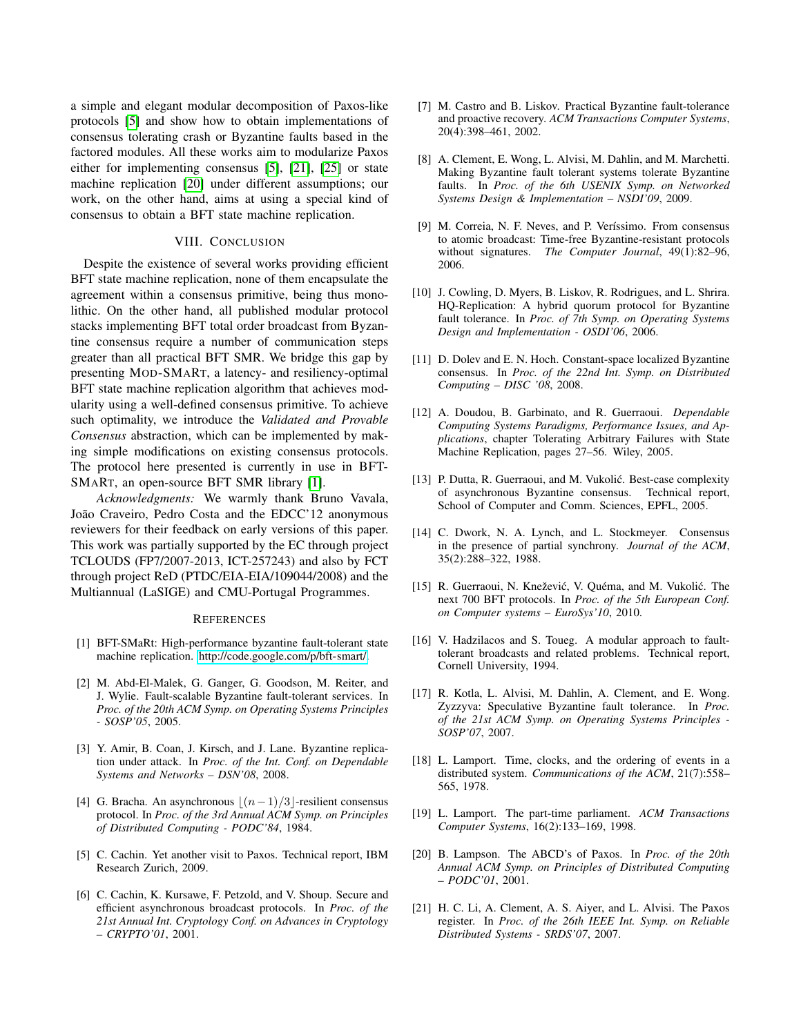a simple and elegant modular decomposition of Paxos-like protocols [\[5\]](#page-8-10) and show how to obtain implementations of consensus tolerating crash or Byzantine faults based in the factored modules. All these works aim to modularize Paxos either for implementing consensus [\[5\]](#page-8-10), [\[21\]](#page-8-21), [\[25\]](#page-9-5) or state machine replication [\[20\]](#page-8-11) under different assumptions; our work, on the other hand, aims at using a special kind of consensus to obtain a BFT state machine replication.

## VIII. CONCLUSION

<span id="page-8-13"></span>Despite the existence of several works providing efficient BFT state machine replication, none of them encapsulate the agreement within a consensus primitive, being thus monolithic. On the other hand, all published modular protocol stacks implementing BFT total order broadcast from Byzantine consensus require a number of communication steps greater than all practical BFT SMR. We bridge this gap by presenting MOD-SMART, a latency- and resiliency-optimal BFT state machine replication algorithm that achieves modularity using a well-defined consensus primitive. To achieve such optimality, we introduce the *Validated and Provable Consensus* abstraction, which can be implemented by making simple modifications on existing consensus protocols. The protocol here presented is currently in use in BFT-SMART, an open-source BFT SMR library [\[1\]](#page-8-12).

*Acknowledgments:* We warmly thank Bruno Vavala, João Craveiro, Pedro Costa and the EDCC'12 anonymous reviewers for their feedback on early versions of this paper. This work was partially supported by the EC through project TCLOUDS (FP7/2007-2013, ICT-257243) and also by FCT through project ReD (PTDC/EIA-EIA/109044/2008) and the Multiannual (LaSIGE) and CMU-Portugal Programmes.

#### **REFERENCES**

- <span id="page-8-12"></span>[1] BFT-SMaRt: High-performance byzantine fault-tolerant state machine replication. [http://code.google.com/p/bft-smart/.](http://code.google.com/p/bft-smart/)
- <span id="page-8-3"></span>[2] M. Abd-El-Malek, G. Ganger, G. Goodson, M. Reiter, and J. Wylie. Fault-scalable Byzantine fault-tolerant services. In *Proc. of the 20th ACM Symp. on Operating Systems Principles - SOSP'05*, 2005.
- <span id="page-8-16"></span>[3] Y. Amir, B. Coan, J. Kirsch, and J. Lane. Byzantine replication under attack. In *Proc. of the Int. Conf. on Dependable Systems and Networks – DSN'08*, 2008.
- <span id="page-8-8"></span>[4] G. Bracha. An asynchronous  $|(n-1)/3|$ -resilient consensus protocol. In *Proc. of the 3rd Annual ACM Symp. on Principles of Distributed Computing - PODC'84*, 1984.
- <span id="page-8-10"></span>[5] C. Cachin. Yet another visit to Paxos. Technical report, IBM Research Zurich, 2009.
- <span id="page-8-7"></span>[6] C. Cachin, K. Kursawe, F. Petzold, and V. Shoup. Secure and efficient asynchronous broadcast protocols. In *Proc. of the 21st Annual Int. Cryptology Conf. on Advances in Cryptology – CRYPTO'01*, 2001.
- <span id="page-8-4"></span>[7] M. Castro and B. Liskov. Practical Byzantine fault-tolerance and proactive recovery. *ACM Transactions Computer Systems*, 20(4):398–461, 2002.
- <span id="page-8-17"></span>[8] A. Clement, E. Wong, L. Alvisi, M. Dahlin, and M. Marchetti. Making Byzantine fault tolerant systems tolerate Byzantine faults. In *Proc. of the 6th USENIX Symp. on Networked Systems Design & Implementation – NSDI'09*, 2009.
- <span id="page-8-1"></span>[9] M. Correia, N. F. Neves, and P. Veríssimo. From consensus to atomic broadcast: Time-free Byzantine-resistant protocols without signatures. *The Computer Journal*, 49(1):82–96, 2006.
- <span id="page-8-5"></span>[10] J. Cowling, D. Myers, B. Liskov, R. Rodrigues, and L. Shrira. HQ-Replication: A hybrid quorum protocol for Byzantine fault tolerance. In *Proc. of 7th Symp. on Operating Systems Design and Implementation - OSDI'06*, 2006.
- <span id="page-8-19"></span>[11] D. Dolev and E. N. Hoch. Constant-space localized Byzantine consensus. In *Proc. of the 22nd Int. Symp. on Distributed Computing – DISC '08*, 2008.
- <span id="page-8-20"></span>[12] A. Doudou, B. Garbinato, and R. Guerraoui. *Dependable Computing Systems Paradigms, Performance Issues, and Applications*, chapter Tolerating Arbitrary Failures with State Machine Replication, pages 27–56. Wiley, 2005.
- <span id="page-8-9"></span>[13] P. Dutta, R. Guerraoui, and M. Vukolić. Best-case complexity of asynchronous Byzantine consensus. Technical report, School of Computer and Comm. Sciences, EPFL, 2005.
- <span id="page-8-14"></span>[14] C. Dwork, N. A. Lynch, and L. Stockmeyer. Consensus in the presence of partial synchrony. *Journal of the ACM*, 35(2):288–322, 1988.
- <span id="page-8-18"></span>[15] R. Guerraoui, N. Knežević, V. Quéma, and M. Vukolić. The next 700 BFT protocols. In *Proc. of the 5th European Conf. on Computer systems – EuroSys'10*, 2010.
- <span id="page-8-2"></span>[16] V. Hadzilacos and S. Toueg. A modular approach to faulttolerant broadcasts and related problems. Technical report, Cornell University, 1994.
- <span id="page-8-6"></span>[17] R. Kotla, L. Alvisi, M. Dahlin, A. Clement, and E. Wong. Zyzzyva: Speculative Byzantine fault tolerance. In *Proc. of the 21st ACM Symp. on Operating Systems Principles - SOSP'07*, 2007.
- <span id="page-8-0"></span>[18] L. Lamport. Time, clocks, and the ordering of events in a distributed system. *Communications of the ACM*, 21(7):558– 565, 1978.
- <span id="page-8-15"></span>[19] L. Lamport. The part-time parliament. *ACM Transactions Computer Systems*, 16(2):133–169, 1998.
- <span id="page-8-11"></span>[20] B. Lampson. The ABCD's of Paxos. In *Proc. of the 20th Annual ACM Symp. on Principles of Distributed Computing – PODC'01*, 2001.
- <span id="page-8-21"></span>[21] H. C. Li, A. Clement, A. S. Aiyer, and L. Alvisi. The Paxos register. In *Proc. of the 26th IEEE Int. Symp. on Reliable Distributed Systems - SRDS'07*, 2007.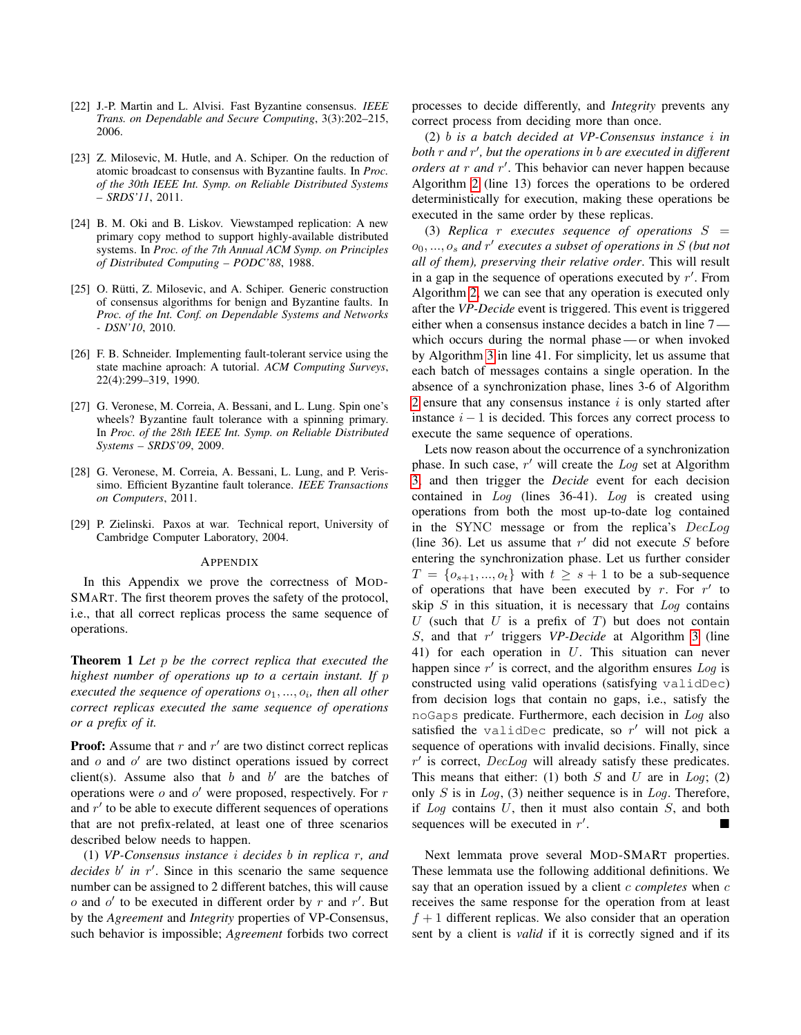- <span id="page-9-4"></span>[22] J.-P. Martin and L. Alvisi. Fast Byzantine consensus. *IEEE Trans. on Dependable and Secure Computing*, 3(3):202–215, 2006.
- <span id="page-9-1"></span>[23] Z. Milosevic, M. Hutle, and A. Schiper. On the reduction of atomic broadcast to consensus with Byzantine faults. In *Proc. of the 30th IEEE Int. Symp. on Reliable Distributed Systems – SRDS'11*, 2011.
- <span id="page-9-7"></span>[24] B. M. Oki and B. Liskov. Viewstamped replication: A new primary copy method to support highly-available distributed systems. In *Proc. of the 7th Annual ACM Symp. on Principles of Distributed Computing – PODC'88*, 1988.
- <span id="page-9-5"></span>[25] O. Rütti, Z. Milosevic, and A. Schiper. Generic construction of consensus algorithms for benign and Byzantine faults. In *Proc. of the Int. Conf. on Dependable Systems and Networks - DSN'10*, 2010.
- <span id="page-9-0"></span>[26] F. B. Schneider. Implementing fault-tolerant service using the state machine aproach: A tutorial. *ACM Computing Surveys*, 22(4):299–319, 1990.
- <span id="page-9-2"></span>[27] G. Veronese, M. Correia, A. Bessani, and L. Lung. Spin one's wheels? Byzantine fault tolerance with a spinning primary. In *Proc. of the 28th IEEE Int. Symp. on Reliable Distributed Systems – SRDS'09*, 2009.
- <span id="page-9-3"></span>[28] G. Veronese, M. Correia, A. Bessani, L. Lung, and P. Verissimo. Efficient Byzantine fault tolerance. *IEEE Transactions on Computers*, 2011.
- <span id="page-9-6"></span>[29] P. Zielinski. Paxos at war. Technical report, University of Cambridge Computer Laboratory, 2004.

#### APPENDIX

In this Appendix we prove the correctness of MOD-SMART. The first theorem proves the safety of the protocol, i.e., that all correct replicas process the same sequence of operations.

Theorem 1 *Let* p *be the correct replica that executed the highest number of operations up to a certain instant. If* p executed the sequence of operations  $o_1$ , ...,  $o_i$ , then all other *correct replicas executed the same sequence of operations or a prefix of it.*

**Proof:** Assume that  $r$  and  $r'$  are two distinct correct replicas and  $o$  and  $o'$  are two distinct operations issued by correct client(s). Assume also that  $b$  and  $b'$  are the batches of operations were  $o$  and  $o'$  were proposed, respectively. For  $r$ and  $r'$  to be able to execute different sequences of operations that are not prefix-related, at least one of three scenarios described below needs to happen.

(1) *VP-Consensus instance* i *decides* b *in replica* r*, and* decides b' in r'. Since in this scenario the same sequence number can be assigned to 2 different batches, this will cause  $o$  and  $o'$  to be executed in different order by r and r'. But by the *Agreement* and *Integrity* properties of VP-Consensus, such behavior is impossible; *Agreement* forbids two correct

processes to decide differently, and *Integrity* prevents any correct process from deciding more than once.

(2) b *is a batch decided at VP-Consensus instance* i *in* both  $r$  and  $r'$ , but the operations in  $b$  are executed in different orders at r and r'. This behavior can never happen because Algorithm [2](#page-4-0) (line 13) forces the operations to be ordered deterministically for execution, making these operations be executed in the same order by these replicas.

(3) *Replica* r *executes sequence of operations*  $S =$ o0, ..., o<sup>s</sup> *and* r 0 *executes a subset of operations in* S *(but not all of them), preserving their relative order*. This will result in a gap in the sequence of operations executed by  $r'$ . From Algorithm [2,](#page-4-0) we can see that any operation is executed only after the *VP-Decide* event is triggered. This event is triggered either when a consensus instance decides a batch in line 7 which occurs during the normal phase — or when invoked by Algorithm [3](#page-6-1) in line 41. For simplicity, let us assume that each batch of messages contains a single operation. In the absence of a synchronization phase, lines 3-6 of Algorithm [2](#page-4-0) ensure that any consensus instance  $i$  is only started after instance  $i - 1$  is decided. This forces any correct process to execute the same sequence of operations.

Lets now reason about the occurrence of a synchronization phase. In such case,  $r'$  will create the  $Log$  set at Algorithm [3,](#page-6-1) and then trigger the *Decide* event for each decision contained in Log (lines 36-41). Log is created using operations from both the most up-to-date log contained in the SYNC message or from the replica's DecLog (line 36). Let us assume that  $r'$  did not execute S before entering the synchronization phase. Let us further consider  $T = \{o_{s+1},...,o_t\}$  with  $t \geq s+1$  to be a sub-sequence of operations that have been executed by  $r$ . For  $r'$  to skip  $S$  in this situation, it is necessary that  $Log$  contains  $U$  (such that  $U$  is a prefix of  $T$ ) but does not contain S, and that r' triggers VP-Decide at Algorithm [3](#page-6-1) (line 41) for each operation in U. This situation can never happen since  $r'$  is correct, and the algorithm ensures  $Log$  is constructed using valid operations (satisfying validDec) from decision logs that contain no gaps, i.e., satisfy the noGaps predicate. Furthermore, each decision in Log also satisfied the validDec predicate, so  $r'$  will not pick a sequence of operations with invalid decisions. Finally, since  $r'$  is correct,  $DecLog$  will already satisfy these predicates. This means that either: (1) both  $S$  and  $U$  are in  $Log$ ; (2) only S is in  $Loq$ , (3) neither sequence is in  $Loq$ . Therefore, if  $Log$  contains  $U$ , then it must also contain  $S$ , and both sequences will be executed in  $r'$ .

Next lemmata prove several MOD-SMART properties. These lemmata use the following additional definitions. We say that an operation issued by a client c *completes* when c receives the same response for the operation from at least  $f + 1$  different replicas. We also consider that an operation sent by a client is *valid* if it is correctly signed and if its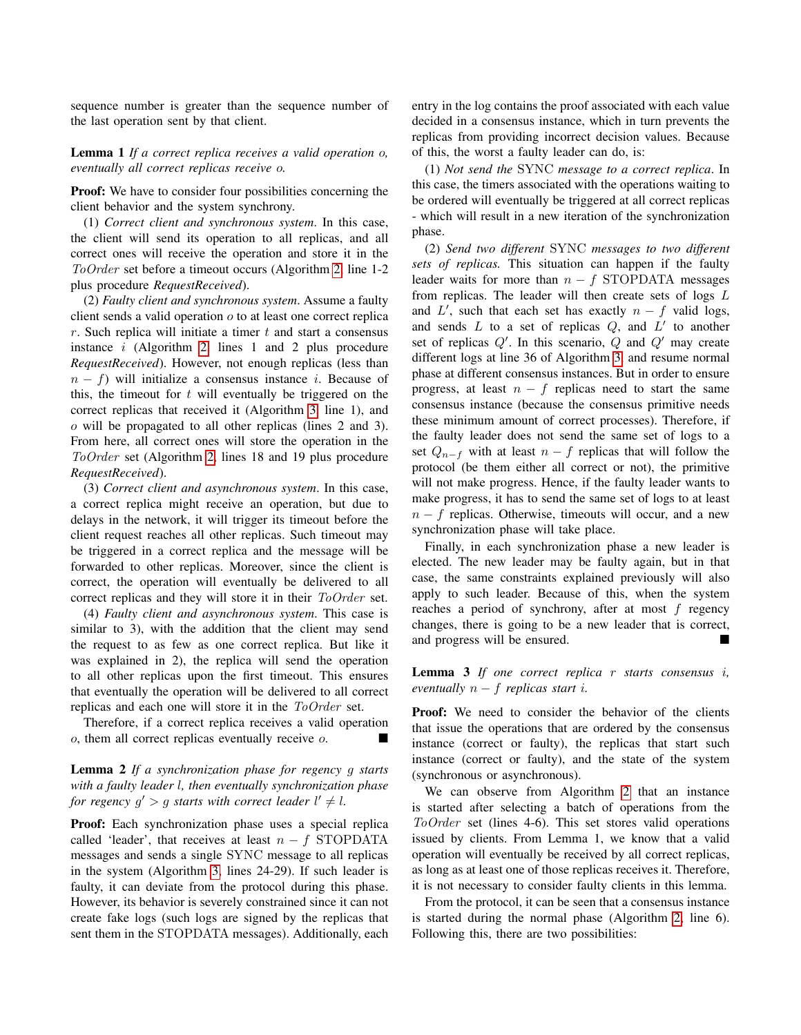sequence number is greater than the sequence number of the last operation sent by that client.

Lemma 1 *If a correct replica receives a valid operation* o*, eventually all correct replicas receive* o*.*

**Proof:** We have to consider four possibilities concerning the client behavior and the system synchrony.

(1) *Correct client and synchronous system*. In this case, the client will send its operation to all replicas, and all correct ones will receive the operation and store it in the ToOrder set before a timeout occurs (Algorithm [2,](#page-4-0) line 1-2 plus procedure *RequestReceived*).

(2) *Faulty client and synchronous system*. Assume a faulty client sends a valid operation  $\sigma$  to at least one correct replica  $r$ . Such replica will initiate a timer  $t$  and start a consensus instance i (Algorithm [2,](#page-4-0) lines 1 and 2 plus procedure *RequestReceived*). However, not enough replicas (less than  $n - f$ ) will initialize a consensus instance i. Because of this, the timeout for  $t$  will eventually be triggered on the correct replicas that received it (Algorithm [3,](#page-6-1) line 1), and o will be propagated to all other replicas (lines 2 and 3). From here, all correct ones will store the operation in the ToOrder set (Algorithm [2,](#page-4-0) lines 18 and 19 plus procedure *RequestReceived*).

(3) *Correct client and asynchronous system*. In this case, a correct replica might receive an operation, but due to delays in the network, it will trigger its timeout before the client request reaches all other replicas. Such timeout may be triggered in a correct replica and the message will be forwarded to other replicas. Moreover, since the client is correct, the operation will eventually be delivered to all correct replicas and they will store it in their ToOrder set.

(4) *Faulty client and asynchronous system*. This case is similar to 3), with the addition that the client may send the request to as few as one correct replica. But like it was explained in 2), the replica will send the operation to all other replicas upon the first timeout. This ensures that eventually the operation will be delivered to all correct replicas and each one will store it in the ToOrder set.

Therefore, if a correct replica receives a valid operation o, them all correct replicas eventually receive o.

## Lemma 2 *If a synchronization phase for regency* g *starts with a faulty leader* l*, then eventually synchronization phase* for regency  $g' > g$  starts with correct leader  $l' \neq l$ .

Proof: Each synchronization phase uses a special replica called 'leader', that receives at least  $n - f$  STOPDATA messages and sends a single SYNC message to all replicas in the system (Algorithm [3,](#page-6-1) lines 24-29). If such leader is faulty, it can deviate from the protocol during this phase. However, its behavior is severely constrained since it can not create fake logs (such logs are signed by the replicas that sent them in the STOPDATA messages). Additionally, each entry in the log contains the proof associated with each value decided in a consensus instance, which in turn prevents the replicas from providing incorrect decision values. Because of this, the worst a faulty leader can do, is:

(1) *Not send the* SYNC *message to a correct replica*. In this case, the timers associated with the operations waiting to be ordered will eventually be triggered at all correct replicas - which will result in a new iteration of the synchronization phase.

(2) *Send two different* SYNC *messages to two different sets of replicas.* This situation can happen if the faulty leader waits for more than  $n - f$  STOPDATA messages from replicas. The leader will then create sets of logs  $L$ and  $L'$ , such that each set has exactly  $n - f$  valid logs, and sends  $L$  to a set of replicas  $Q$ , and  $L'$  to another set of replicas  $Q'$ . In this scenario,  $Q$  and  $Q'$  may create different logs at line 36 of Algorithm [3,](#page-6-1) and resume normal phase at different consensus instances. But in order to ensure progress, at least  $n - f$  replicas need to start the same consensus instance (because the consensus primitive needs these minimum amount of correct processes). Therefore, if the faulty leader does not send the same set of logs to a set  $Q_{n-f}$  with at least  $n-f$  replicas that will follow the protocol (be them either all correct or not), the primitive will not make progress. Hence, if the faulty leader wants to make progress, it has to send the same set of logs to at least  $n - f$  replicas. Otherwise, timeouts will occur, and a new synchronization phase will take place.

Finally, in each synchronization phase a new leader is elected. The new leader may be faulty again, but in that case, the same constraints explained previously will also apply to such leader. Because of this, when the system reaches a period of synchrony, after at most  $f$  regency changes, there is going to be a new leader that is correct, and progress will be ensured.

Lemma 3 *If one correct replica* r *starts consensus* i*, eventually*  $n - f$  *replicas start i.* 

Proof: We need to consider the behavior of the clients that issue the operations that are ordered by the consensus instance (correct or faulty), the replicas that start such instance (correct or faulty), and the state of the system (synchronous or asynchronous).

We can observe from Algorithm [2](#page-4-0) that an instance is started after selecting a batch of operations from the ToOrder set (lines 4-6). This set stores valid operations issued by clients. From Lemma 1, we know that a valid operation will eventually be received by all correct replicas, as long as at least one of those replicas receives it. Therefore, it is not necessary to consider faulty clients in this lemma.

From the protocol, it can be seen that a consensus instance is started during the normal phase (Algorithm [2,](#page-4-0) line 6). Following this, there are two possibilities: